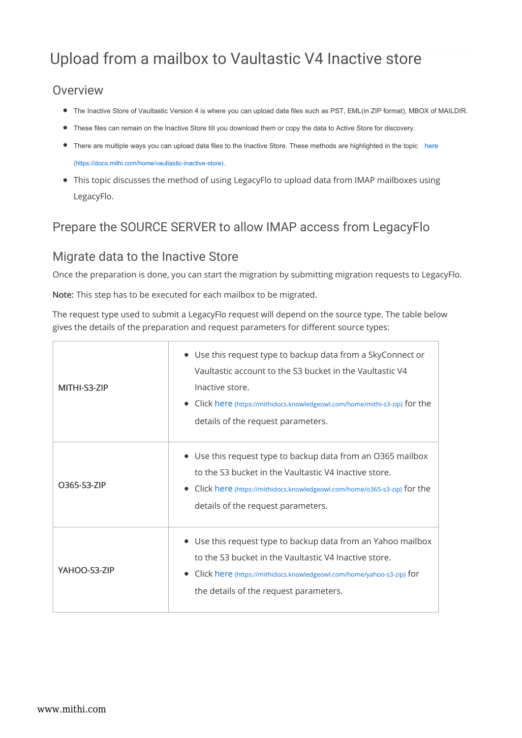# Upload from a mailbox to Vaultastic V4 Inactive store

#### Overview

- The Inactive Store of Vaultastic Version 4 is where you can upload data files such as PST, EML(in ZIP format), MBOX of MAILDIR.
- These files can remain on the Inactive Store till you download them or copy the data to Active Store for discovery.
- There are multiple ways you can upload data files to the Inactive Store. These methods are highlighted in the topic here (https://docs.mithi.com/home/vaultastic-inactive-store).
- This topic discusses the method of using LegacyFlo to upload data from IMAP mailboxes using LegacyFlo.

## Prepare the SOURCE SERVER to allow IMAP access from LegacyFlo

#### Migrate data to the Inactive Store

Once the preparation is done, you can start the migration by submitting migration requests to LegacyFlo.

Note: This step has to be executed for each mailbox to be migrated.

The request type used to submit a LegacyFlo request will depend on the source type. The table below gives the details of the preparation and request parameters for different source types:

| MITHI-S3-7IP | • Use this request type to backup data from a SkyConnect or<br>Vaultastic account to the S3 bucket in the Vaultastic V4<br>Inactive store.<br>• Click here (https://mithidocs.knowledgeowl.com/home/mithi-s3-zip) for the<br>details of the request parameters. |
|--------------|-----------------------------------------------------------------------------------------------------------------------------------------------------------------------------------------------------------------------------------------------------------------|
| O365-S3-ZIP  | • Use this request type to backup data from an O365 mailbox<br>to the S3 bucket in the Vaultastic V4 Inactive store.<br>Click here (https://mithidocs.knowledgeowl.com/home/0365-s3-zip) for the<br>details of the request parameters.                          |
| YAHOO-S3-ZIP | • Use this request type to backup data from an Yahoo mailbox<br>to the S3 bucket in the Vaultastic V4 Inactive store.<br>Click here (https://mithidocs.knowledgeowl.com/home/yahoo-s3-zip) for<br>the details of the request parameters.                        |